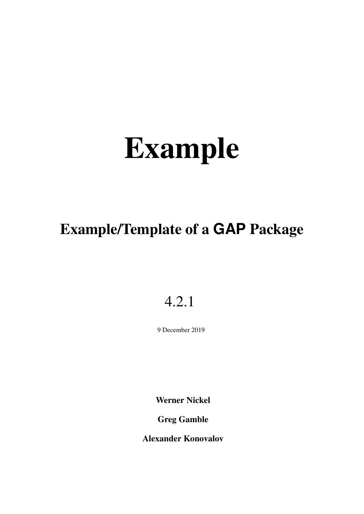# Example/Template of a **GAP** Package

# 4.2.1

9 December 2019

Werner Nickel

Greg Gamble

Alexander Konovalov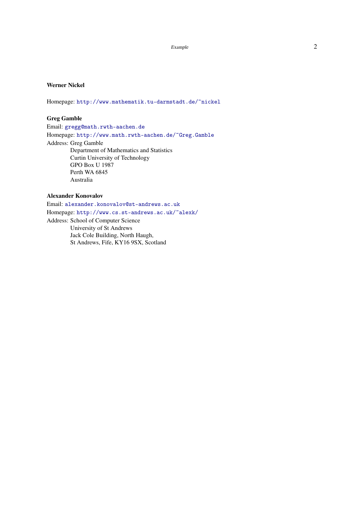#### <span id="page-1-0"></span>Werner Nickel

Homepage: <http://www.mathematik.tu-darmstadt.de/~nickel>

#### Greg Gamble

Email: [gregg@math.rwth-aachen.de](mailto://gregg@math.rwth-aachen.de) Homepage: <http://www.math.rwth-aachen.de/~Greg.Gamble> Address: Greg Gamble Department of Mathematics and Statistics Curtin University of Technology GPO Box U 1987 Perth WA 6845 Australia

#### Alexander Konovalov

Email: [alexander.konovalov@st-andrews.ac.uk](mailto://alexander.konovalov@st-andrews.ac.uk) Homepage: <http://www.cs.st-andrews.ac.uk/~alexk/> Address: School of Computer Science University of St Andrews Jack Cole Building, North Haugh, St Andrews, Fife, KY16 9SX, Scotland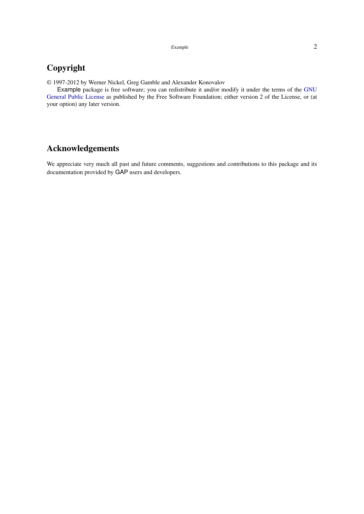### Copyright

© 1997-2012 by Werner Nickel, Greg Gamble and Alexander Konovalov

Example package is free software; you can redistribute it and/or modify it under the terms of the [GNU](http://www.fsf.org/licenses/gpl.html) [General Public License](http://www.fsf.org/licenses/gpl.html) as published by the Free Software Foundation; either version 2 of the License, or (at your option) any later version.

### Acknowledgements

We appreciate very much all past and future comments, suggestions and contributions to this package and its documentation provided by GAP users and developers.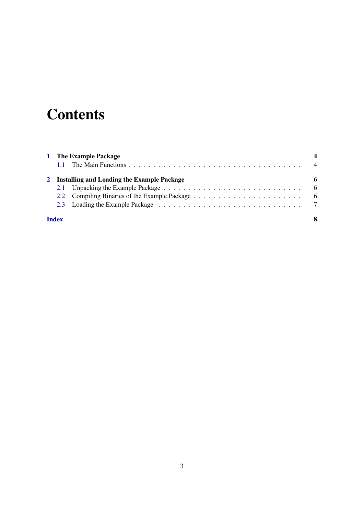# **Contents**

|              |                                              | 1 The Example Package |   |
|--------------|----------------------------------------------|-----------------------|---|
|              | 2 Installing and Loading the Example Package |                       |   |
|              |                                              |                       | 6 |
|              |                                              |                       |   |
|              |                                              |                       |   |
| <b>Index</b> |                                              |                       |   |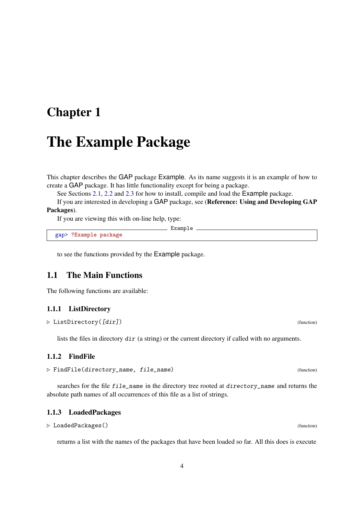### <span id="page-4-2"></span><span id="page-4-0"></span>Chapter 1

### The Example Package

This chapter describes the GAP package Example. As its name suggests it is an example of how to create a GAP package. It has little functionality except for being a package.

See Sections [2.1,](#page-6-1) [2.2](#page-6-2) and [2.3](#page-7-0) for how to install, compile and load the Example package.

If you are interested in developing a GAP package, see (Reference: Using and Developing GAP Packages).

 $\_$  Example  $\_$ 

If you are viewing this with on-line help, type:

gap> ?Example package

to see the functions provided by the Example package.

#### <span id="page-4-1"></span>1.1 The Main Functions

The following functions are available:

#### 1.1.1 ListDirectory

```
\triangleright ListDirectory([dir]) (function)
```
lists the files in directory dir (a string) or the current directory if called with no arguments.

#### 1.1.2 FindFile

```
\triangleright FindFile(directory_name, file_name) (function)
```
searches for the file file\_name in the directory tree rooted at directory\_name and returns the absolute path names of all occurrences of this file as a list of strings.

#### 1.1.3 LoadedPackages

```
. LoadedPackages() (function)
```
returns a list with the names of the packages that have been loaded so far. All this does is execute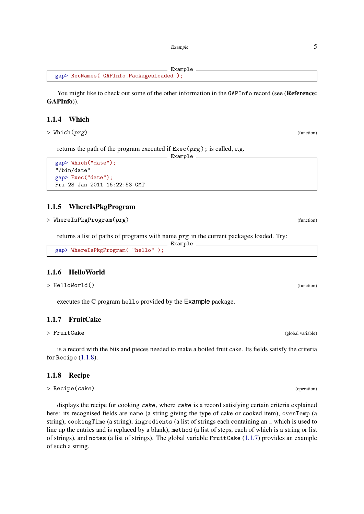```
Example
gap> RecNames( GAPInfo.PackagesLoaded );
```
You might like to check out some of the other information in the GAPInfo record (see (Reference: GAPInfo)).

 $-$  Example  $-$ 

#### 1.1.4 Which

 $\triangleright$  Which(prg) (function)

returns the path of the program executed if  $Exec(prg)$ ; is called, e.g.

```
gap> Which("date");
"/bin/date"
gap> Exec("date");
Fri 28 Jan 2011 16:22:53 GMT
```
#### 1.1.5 WhereIsPkgProgram

 $\triangleright$  WhereIsPkgProgram( $prg$ ) (function)

returns a list of paths of programs with name prg in the current packages loaded. Try:

Example

```
gap> WhereIsPkgProgram( "hello" );
```
#### 1.1.6 HelloWorld

 $\triangleright$  HelloWorld() (function)

executes the C program hello provided by the Example package.

#### <span id="page-5-1"></span>1.1.7 FruitCake

```
. FruitCake (global variable)
```
is a record with the bits and pieces needed to make a boiled fruit cake. Its fields satisfy the criteria for Recipe [\(1.1.8\)](#page-5-0).

#### <span id="page-5-0"></span>1.1.8 Recipe

 $\triangleright$  Recipe(cake) (operation)

displays the recipe for cooking cake, where cake is a record satisfying certain criteria explained here: its recognised fields are name (a string giving the type of cake or cooked item), ovenTemp (a string), cookingTime (a string), ingredients (a list of strings each containing an \_ which is used to line up the entries and is replaced by a blank), method (a list of steps, each of which is a string or list of strings), and notes (a list of strings). The global variable FruitCake [\(1.1.7\)](#page-5-1) provides an example of such a string.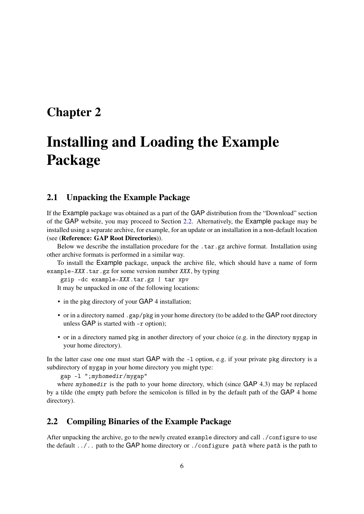### <span id="page-6-0"></span>Chapter 2

# Installing and Loading the Example Package

#### <span id="page-6-1"></span>2.1 Unpacking the Example Package

If the Example package was obtained as a part of the GAP distribution from the "Download" section of the GAP website, you may proceed to Section [2.2.](#page-6-2) Alternatively, the Example package may be installed using a separate archive, for example, for an update or an installation in a non-default location (see (Reference: GAP Root Directories)).

Below we describe the installation procedure for the .tar.gz archive format. Installation using other archive formats is performed in a similar way.

To install the Example package, unpack the archive file, which should have a name of form example-XXX.tar.gz for some version number XXX, by typing

gzip -dc example-XXX.tar.gz | tar xpv

It may be unpacked in one of the following locations:

- in the pkg directory of your GAP 4 installation;
- or in a directory named .gap/pkg in your home directory (to be added to the GAP root directory unless GAP is started with  $-r$  option);
- or in a directory named pkg in another directory of your choice (e.g. in the directory mygap in your home directory).

In the latter case one one must start GAP with the  $-1$  option, e.g. if your private pkg directory is a subdirectory of mygap in your home directory you might type:

gap -l ";myhomedir/mygap"

where myhomedir is the path to your home directory, which (since  $GAP$  4.3) may be replaced by a tilde (the empty path before the semicolon is filled in by the default path of the GAP 4 home directory).

#### <span id="page-6-2"></span>2.2 Compiling Binaries of the Example Package

After unpacking the archive, go to the newly created example directory and call ./configure to use the default ../.. path to the GAP home directory or ./configure path where path is the path to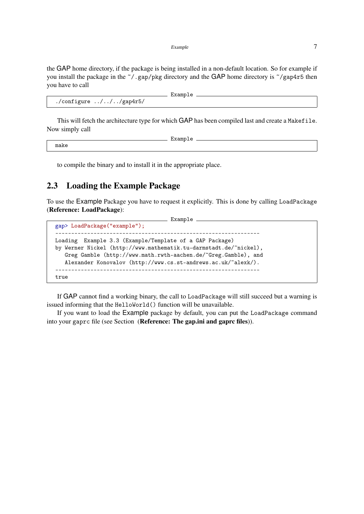the GAP home directory, if the package is being installed in a non-default location. So for example if you install the package in the ~/.gap/pkg directory and the GAP home directory is ~/gap4r5 then you have to call

```
- Example -./configure ../.././gap4r5/
```
This will fetch the architecture type for which GAP has been compiled last and create a Makefile. Now simply call

make

- Example

to compile the binary and to install it in the appropriate place.

### <span id="page-7-0"></span>2.3 Loading the Example Package

To use the Example Package you have to request it explicitly. This is done by calling LoadPackage (Reference: LoadPackage):

```
Example
gap> LoadPackage("example");
----------------------------------------------------------------
Loading Example 3.3 (Example/Template of a GAP Package)
by Werner Nickel (http://www.mathematik.tu-darmstadt.de/~nickel),
   Greg Gamble (http://www.math.rwth-aachen.de/~Greg.Gamble), and
   Alexander Konovalov (http://www.cs.st-andrews.ac.uk/~alexk/).
                 ----------------------------------------------------------------
true
```
If GAP cannot find a working binary, the call to LoadPackage will still succeed but a warning is issued informing that the HelloWorld() function will be unavailable.

If you want to load the Example package by default, you can put the LoadPackage command into your gaprc file (see Section (Reference: The gap.ini and gaprc files)).